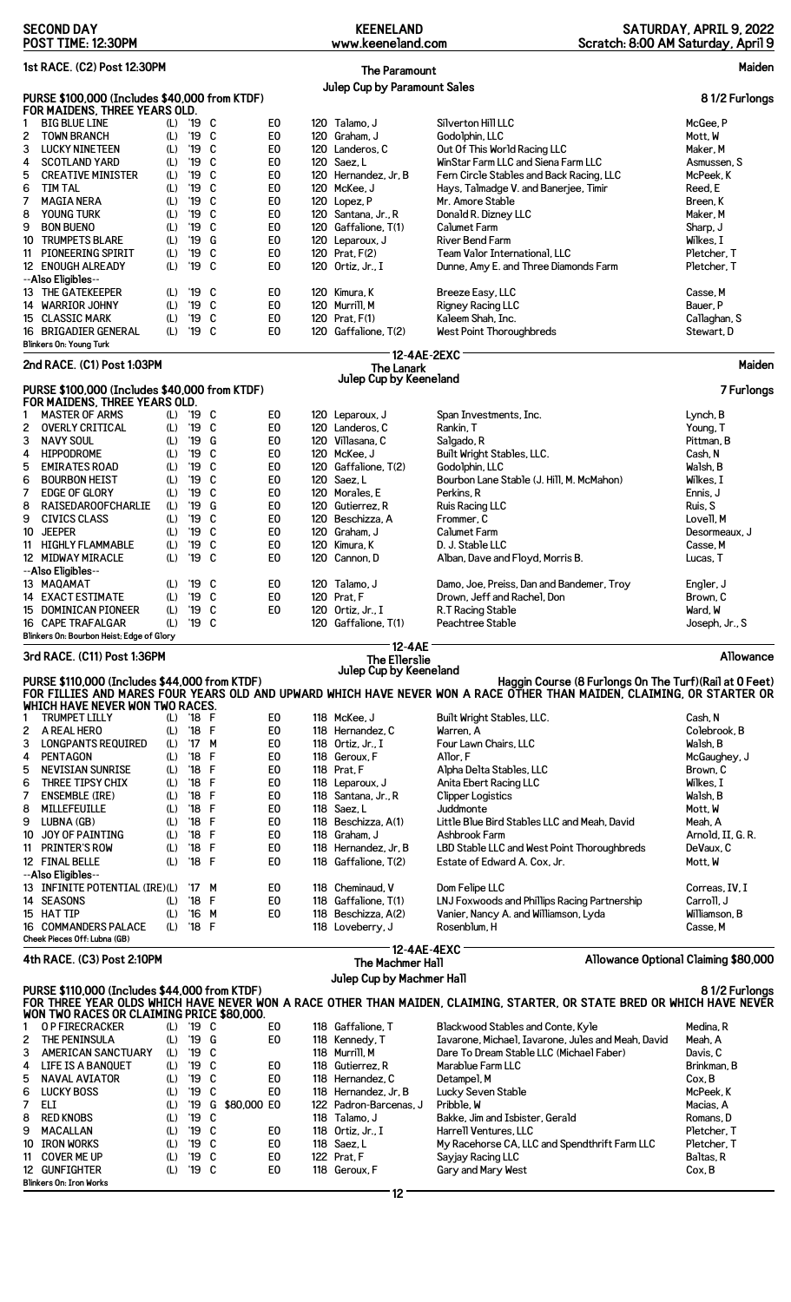| <b>SECOND DAY</b><br><b>KEENELAND</b><br>www.keeneland.com<br>POST TIME: 12:30PM                                                                                                                                                            | SATURDAY, APRIL 9, 2022<br>Scratch: 8:00 AM Saturday, April 9 |  |  |  |  |
|---------------------------------------------------------------------------------------------------------------------------------------------------------------------------------------------------------------------------------------------|---------------------------------------------------------------|--|--|--|--|
| 1st RACE. (C2) Post 12:30PM<br>Maiden<br><b>The Paramount</b>                                                                                                                                                                               |                                                               |  |  |  |  |
| Julep Cup by Paramount Sales                                                                                                                                                                                                                |                                                               |  |  |  |  |
| PURSE \$100,000 (Includes \$40,000 from KTDF)<br>FOR MAIDENS, THREE YEARS OLD.                                                                                                                                                              | 81/2 Furlongs                                                 |  |  |  |  |
| '19<br>C<br>E0<br>120 Talamo, J<br>Silverton Hill LLC<br><b>BIG BLUE LINE</b><br>1<br>(L)                                                                                                                                                   | McGee, P                                                      |  |  |  |  |
| '19<br>E <sub>0</sub><br><b>TOWN BRANCH</b><br>C<br>120 Graham, J<br>Godolphin, LLC<br>2<br>(L)<br>$^{\prime}19$<br>C<br>E0<br>120 Landeros, C<br>Out Of This World Racing LLC<br>3<br><b>LUCKY NINETEEN</b><br>(L)                         | Mott, W<br>Maker, M                                           |  |  |  |  |
| '19<br>C<br>E <sub>0</sub><br>120 Saez, L<br>WinStar Farm LLC and Siena Farm LLC<br>4<br><b>SCOTLAND YARD</b><br>(L)                                                                                                                        | Asmussen, S                                                   |  |  |  |  |
| '19<br>C<br>E <sub>0</sub><br><b>CREATIVE MINISTER</b><br>(L)<br>120 Hernandez, Jr, B<br>Fern Circle Stables and Back Racing, LLC<br>5                                                                                                      | McPeek, K                                                     |  |  |  |  |
| '19<br>C<br>E <sub>0</sub><br><b>TIM TAL</b><br>120 McKee, J<br>6<br>(L)<br>Hays, Talmadge V. and Banerjee, Timir<br>'19<br>C<br>E <sub>0</sub><br>120 Lopez, P<br>Mr. Amore Stable<br>7<br><b>MAGIA NERA</b><br>(L)                        | Reed, E<br>Breen, K                                           |  |  |  |  |
| '19<br>C<br>E <sub>0</sub><br><b>YOUNG TURK</b><br>(L)<br>120 Santana, Jr., R<br>Donald R. Dizney LLC<br>8                                                                                                                                  | Maker, M                                                      |  |  |  |  |
| '19<br>E <sub>0</sub><br>9<br><b>BON BUENO</b><br>(L)<br>C<br>120 Gaffalione, T(1)<br><b>Calumet Farm</b>                                                                                                                                   | Sharp, J                                                      |  |  |  |  |
| E <sub>0</sub><br><b>TRUMPETS BLARE</b><br>'19<br>G<br><b>River Bend Farm</b><br>(L)<br>120 Leparoux, J<br>10<br>C                                                                                                                          | Wilkes, I                                                     |  |  |  |  |
| '19<br>PIONEERING SPIRIT<br>E <sub>0</sub><br>120 Prat, F(2)<br>Team Valor International, LLC<br>(L)<br>11<br>'19<br>C<br>E <sub>0</sub><br>12 ENOUGH ALREADY<br>(L)<br>120 Ortiz, Jr., I<br>Dunne, Amy E. and Three Diamonds Farm          | Pletcher, T<br>Pletcher. T                                    |  |  |  |  |
| --Also Eligibles--                                                                                                                                                                                                                          |                                                               |  |  |  |  |
| $^{\prime}19$<br>C<br>E <sub>0</sub><br>Breeze Easy, LLC<br>13 THE GATEKEEPER<br>(L)<br>120 Kimura, K                                                                                                                                       | Casse.M                                                       |  |  |  |  |
| '19<br>C<br>E <sub>0</sub><br>(L)<br><b>Rigney Racing LLC</b><br>14 WARRIOR JOHNY<br>120 Murrill, M<br>15 CLASSIC MARK<br>'19<br>C<br>E <sub>0</sub><br>120 Prat, F(1)<br>Kaleem Shah, Inc.<br>(L)                                          | Bauer, P<br>Callaghan, S                                      |  |  |  |  |
| '19<br>C<br>E0<br>120 Gaffalione, T(2)<br>West Point Thoroughbreds<br>16 BRIGADIER GENERAL<br>(L)                                                                                                                                           | Stewart, D                                                    |  |  |  |  |
| <b>Blinkers On: Young Turk</b>                                                                                                                                                                                                              |                                                               |  |  |  |  |
| 12-4AE-2EXC<br>2nd RACE. (C1) Post 1:03PM<br>The Lanark                                                                                                                                                                                     | Maiden                                                        |  |  |  |  |
| Julep Cup by Keeneland<br>PURSE \$100,000 (Includes \$40,000 from KTDF)                                                                                                                                                                     | 7 Furlongs                                                    |  |  |  |  |
| FOR MAIDENS, THREE YEARS OLD.                                                                                                                                                                                                               |                                                               |  |  |  |  |
| <b>MASTER OF ARMS</b><br>'19<br>C<br>E <sub>0</sub><br>(L)<br>120 Leparoux, J<br>Span Investments, Inc.<br>1                                                                                                                                | Lynch, B                                                      |  |  |  |  |
| '19<br>C<br><b>OVERLY CRITICAL</b><br>(L)<br>E <sub>0</sub><br>120 Landeros, C<br>2<br>Rankin, T<br>'19<br><b>NAVY SOUL</b><br>G<br>E <sub>0</sub><br>120 Villasana, C<br>3<br>(L)<br>Salgado, R                                            | Young, T<br>Pittman, B                                        |  |  |  |  |
| '19<br>C<br>E <sub>0</sub><br>HIPPODROME<br>(L)<br>120 McKee, J<br>Built Wright Stables, LLC.<br>4                                                                                                                                          | Cash, N                                                       |  |  |  |  |
| '19<br>C<br><b>EMIRATES ROAD</b><br>(L)<br>E0<br>120 Gaffalione, T(2)<br>Godolphin, LLC<br>5                                                                                                                                                | Walsh, B                                                      |  |  |  |  |
| '19<br>C<br>E <sub>0</sub><br>6<br>120 Saez, L<br>Bourbon Lane Stable (J. Hill, M. McMahon)<br><b>BOURBON HEIST</b><br>(L)                                                                                                                  | Wilkes, I                                                     |  |  |  |  |
| '19<br>C<br>E <sub>0</sub><br>7<br><b>EDGE OF GLORY</b><br>(L)<br>120 Morales, E<br>Perkins, R<br>E <sub>0</sub><br>'19<br>G<br>8<br>RAISEDAROOFCHARLIE<br>(L)<br>120 Gutierrez. R<br>Ruis Racing LLC                                       | Ennis, J<br>Ruis, S                                           |  |  |  |  |
| C<br>E <sub>0</sub><br><b>CIVICS CLASS</b><br>(L)<br>'19<br>9<br>120 Beschizza, A<br>Frommer, C                                                                                                                                             | Lovell, M                                                     |  |  |  |  |
| '19<br>C<br><b>JEEPER</b><br>(L)<br>E <sub>0</sub><br>120 Graham, J<br><b>Calumet Farm</b><br>10                                                                                                                                            | Desormeaux, J                                                 |  |  |  |  |
| '19<br>E <sub>0</sub><br>11 HIGHLY FLAMMABLE<br>(L)<br>C<br>120 Kimura, K<br>D. J. Stable LLC<br>C<br>(L)<br>$^{\prime}19$<br>E <sub>0</sub><br>Alban, Dave and Floyd, Morris B.<br>12 MIDWAY MIRACLE<br>120 Cannon, D                      | Casse, M<br>Lucas, T                                          |  |  |  |  |
| --Also Eligibles--                                                                                                                                                                                                                          |                                                               |  |  |  |  |
| E <sub>0</sub><br>(L)<br>'19<br>C<br>13 MAQAMAT<br>120 Talamo, J<br>Damo, Joe, Preiss, Dan and Bandemer, Troy                                                                                                                               | Engler, J                                                     |  |  |  |  |
| <b>EXACT ESTIMATE</b><br>(L)<br>'19<br>C<br>E0<br>120 Prat, F<br>Drown, Jeff and Rachel, Don<br>14                                                                                                                                          | Brown, C                                                      |  |  |  |  |
| '19<br>C<br>E <sub>0</sub><br>120 Ortiz, Jr., I<br>R.T Racing Stable<br>15 DOMINICAN PIONEER<br>(L)<br>(L)<br>$'19$ C<br>120 Gaffalione, T(1)<br>Peachtree Stable<br>16 CAPE TRAFALGAR                                                      | Ward, W<br>Joseph, Jr., S                                     |  |  |  |  |
| Blinkers On: Bourbon Heist; Edge of Glory                                                                                                                                                                                                   |                                                               |  |  |  |  |
| 12-4AE<br>3rd RACE. (C11) Post 1:36PM<br>The Ellerslie                                                                                                                                                                                      | Allowance                                                     |  |  |  |  |
| Julep Cup by Keeneland<br>PURSE \$110,000 (Includes \$44,000 from KTDF)<br>Haggin Course (8 Furlongs On The Turf) (Rail at 0 Feet)                                                                                                          |                                                               |  |  |  |  |
| FOR FILLIES AND MARES FOUR YEARS OLD AND UPWARD WHICH HAVE NEVER WON A RACE OTHER THAN MAIDEN, CLAIMING, OR STARTER OR                                                                                                                      |                                                               |  |  |  |  |
| WHICH HAVE NEVER WON TWO RACES.<br>E <sub>0</sub><br>118 McKee, J                                                                                                                                                                           | Cash, N                                                       |  |  |  |  |
| Built Wright Stables, LLC.<br><b>TRUMPET LILLY</b><br>(L)<br>'18 F<br>$^{\prime}$ 18<br>$\mathsf{F}$<br>E <sub>0</sub><br>2<br>A REAL HERO<br>(L)<br>118 Hernandez, C<br>Warren, A                                                          | Colebrook, B                                                  |  |  |  |  |
| '17 M<br><b>LONGPANTS REQUIRED</b><br>E <sub>0</sub><br>3<br>(L)<br>118 Ortiz, Jr., I<br>Four Lawn Chairs, LLC                                                                                                                              | Walsh, B                                                      |  |  |  |  |
| $^{\prime}18$<br>F<br>PENTAGON<br>(L)<br>E <sub>0</sub><br>4<br>118 Geroux. F<br>Allor, F                                                                                                                                                   | McGaughey, J                                                  |  |  |  |  |
| $^{\prime}18$<br>F<br>E <sub>0</sub><br>NEVISIAN SUNRISE<br>118 Prat, F<br>Alpha Delta Stables, LLC<br>5<br>(L)<br>$^{\prime}18$<br>F<br>E <sub>0</sub><br>THREE TIPSY CHIX<br>(L)<br>Anita Ebert Racing LLC<br>6<br>118 Leparoux, J        | Brown, C<br>Wilkes, I                                         |  |  |  |  |
| F<br>$^{\prime}18$<br>E <sub>0</sub><br><b>Clipper Logistics</b><br>7<br><b>ENSEMBLE (IRE)</b><br>(L)<br>118 Santana, Jr., R                                                                                                                | Walsh, B                                                      |  |  |  |  |
| $^{\prime}18$<br>F<br>E <sub>0</sub><br>MILLEFEUILLE<br>(L)<br>118 Saez, L<br>Juddmonte<br>8                                                                                                                                                | Mott, W                                                       |  |  |  |  |
| $^{\prime}18$<br>F<br>E <sub>0</sub><br>Little Blue Bird Stables LLC and Meah, David<br>LUBNA (GB)<br>(L)<br>118 Beschizza, A(1)<br>9<br>F                                                                                                  | Meah, A                                                       |  |  |  |  |
| $^{\prime}18$<br>E <sub>0</sub><br>118 Graham. J<br>JOY OF PAINTING<br>(L)<br>Ashbrook Farm<br>10<br>$^{\prime}18$<br>F<br>E <sub>0</sub><br>11 PRINTER'S ROW<br>(L)<br>118 Hernandez, Jr, B<br>LBD Stable LLC and West Point Thoroughbreds | Arnold, II, G. R.<br>DeVaux, C                                |  |  |  |  |
| '18 F<br>(L)<br>E <sub>0</sub><br>118 Gaffalione, T(2)<br>Estate of Edward A. Cox, Jr.<br>12 FINAL BELLE                                                                                                                                    | Mott, W                                                       |  |  |  |  |
| --Also Eligibles--                                                                                                                                                                                                                          |                                                               |  |  |  |  |
| E <sub>0</sub><br>13 INFINITE POTENTIAL (IRE)(L)<br>'17<br>M<br>118 Cheminaud, V<br>Dom Felipe LLC<br>$^{\prime}18$<br>F<br>E <sub>0</sub><br>118 Gaffalione, T(1)<br>LNJ Foxwoods and Phillips Racing Partnership<br>14 SEASONS<br>(L)     | Correas, IV, I<br>Carroll, J                                  |  |  |  |  |
| 15 HAT TIP<br>$^{\prime}16$<br>M<br>E <sub>0</sub><br>118 Beschizza, A(2)<br>(L)<br>Vanier, Nancy A. and Williamson, Lyda                                                                                                                   | Williamson, B                                                 |  |  |  |  |
| '18 F<br>Rosenblum, H<br><b>16 COMMANDERS PALACE</b><br>(L)<br>118 Loveberry, J                                                                                                                                                             | Casse, M                                                      |  |  |  |  |
| Cheek Pieces Off: Lubna (GB)<br>12-4AE-4EXC                                                                                                                                                                                                 |                                                               |  |  |  |  |
| 4th RACE. (C3) Post 2:10PM<br><b>The Machmer Hall</b>                                                                                                                                                                                       | Allowance Optional Claiming \$80,000                          |  |  |  |  |
| Julep Cup by Machmer Hall<br>PURSE \$110,000 (Includes \$44,000 from KTDF)                                                                                                                                                                  | 81/2 Furlonas                                                 |  |  |  |  |
| FOR THREE YEAR OLDS WHICH HAVE NEVER WON A RACE OTHER THAN MAIDEN, CLAIMING, STARTER, OR STATE BRED OR WHICH HAVE NEVER                                                                                                                     |                                                               |  |  |  |  |
| WON TWO RACES OR CLAIMING PRICE \$80,000.<br>'19 C<br>E <sub>0</sub><br>118 Gaffalione. T<br>Blackwood Stables and Conte, Kyle<br><b>O P FIRECRACKER</b><br>(L)<br>1                                                                        | Medina, R                                                     |  |  |  |  |
| THE PENINSULA<br>'19<br>G<br>E <sub>0</sub><br>Iavarone, Michael, Iavarone, Jules and Meah, David<br>2<br>(L)<br>118 Kennedy, T                                                                                                             | Meah. A                                                       |  |  |  |  |
| '19<br>C<br>Dare To Dream Stable LLC (Michael Faber)<br>3<br>AMERICAN SANCTUARY<br>(L)<br>118 Murrill, M                                                                                                                                    | Davis, C                                                      |  |  |  |  |
| '19<br>C<br>E0<br>LIFE IS A BANQUET<br>(L)<br>118 Gutierrez. R<br>Marablue Farm LLC<br>4<br>C<br>(L)<br>'19<br>E <sub>0</sub><br>118 Hernandez, C<br>Detampel, M<br>5<br>NAVAL AVIATOR                                                      | Brinkman, B<br>Cox, B                                         |  |  |  |  |
| '19<br>E <sub>0</sub><br><b>LUCKY BOSS</b><br>C<br>118 Hernandez, Jr, B<br>6<br>(L)<br>Lucky Seven Stable                                                                                                                                   | McPeek, K                                                     |  |  |  |  |
| 7<br>(L)<br>$^{\prime}19$<br>G<br>\$80,000 EO<br>Pribble, W<br>ELI<br>122 Padron-Barcenas, J                                                                                                                                                | Macias, A                                                     |  |  |  |  |
| $^{\prime}19$<br>C<br>Bakke, Jim and Isbister, Gerald<br>8<br><b>RED KNOBS</b><br>(L)<br>118 Talamo, J                                                                                                                                      | Romans, D                                                     |  |  |  |  |
| $^{\prime}19$<br>C<br>9<br>MACALLAN<br>(L)<br>E0<br>118 Ortiz, Jr., I<br>Harrell Ventures, LLC<br>IRON WORKS<br>(L)<br>$^{\prime}19$<br>C<br>E <sub>0</sub><br>10<br>118 Saez, L<br>My Racehorse CA, LLC and Spendthrift Farm LLC           | Pletcher, T<br>Pletcher, T                                    |  |  |  |  |
| $^{\prime}19$<br>C<br>E <sub>0</sub><br><b>COVER ME UP</b><br>(L)<br>122 Prat, F<br>Sayjay Racing LLC<br>11                                                                                                                                 | Baltas, R                                                     |  |  |  |  |
| C<br>(L)<br>'19<br>E0<br>12 GUNFIGHTER<br>118 Geroux, F<br>Gary and Mary West                                                                                                                                                               | Cox, B                                                        |  |  |  |  |
| <b>Blinkers On: Iron Works</b>                                                                                                                                                                                                              |                                                               |  |  |  |  |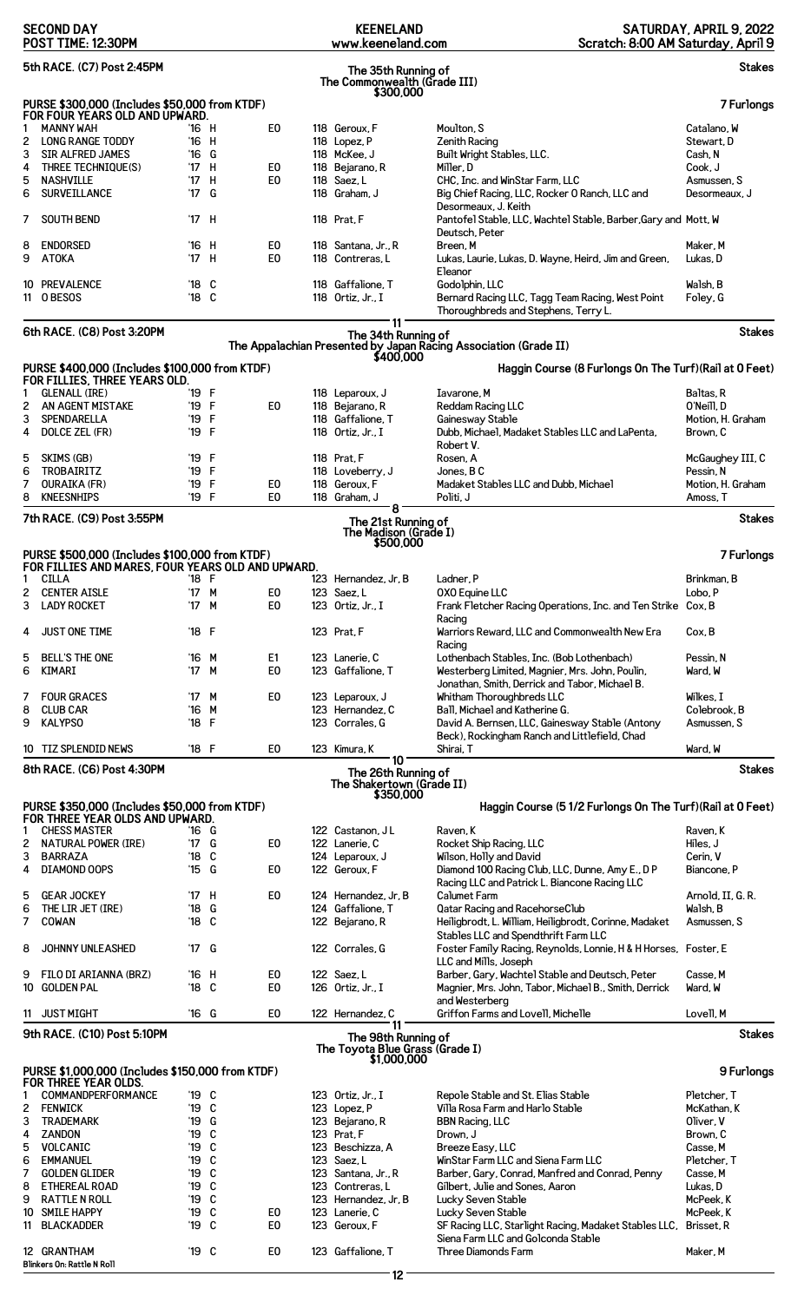|                                                                                                    | <b>SECOND DAY</b><br>POST TIME: 12:30PM                                                             |                         |              | <b>KEENELAND</b><br>www.keeneland.com |  |                                                        | SATURDAY, APRIL 9, 2022<br>Scratch: 8:00 AM Saturday, April 9                                                                    |                               |
|----------------------------------------------------------------------------------------------------|-----------------------------------------------------------------------------------------------------|-------------------------|--------------|---------------------------------------|--|--------------------------------------------------------|----------------------------------------------------------------------------------------------------------------------------------|-------------------------------|
| 5th RACE. (C7) Post 2:45PM<br><b>Stakes</b><br>The 35th Running of<br>The Commonwealth (Grade III) |                                                                                                     |                         |              |                                       |  |                                                        |                                                                                                                                  |                               |
|                                                                                                    | PURSE \$300,000 (Includes \$50,000 from KTDF)                                                       |                         |              |                                       |  | \$300.000                                              |                                                                                                                                  | 7 Furlongs                    |
| 1                                                                                                  | FOR FOUR YEARS OLD AND UPWARD.<br><b>MANNY WAH</b>                                                  | '16 H                   |              | E <sub>0</sub>                        |  | 118 Geroux, F                                          | Moulton, S                                                                                                                       | Catalano, W                   |
| 2                                                                                                  | <b>LONG RANGE TODDY</b>                                                                             | '16                     | H            |                                       |  | 118 Lopez, P                                           | <b>Zenith Racing</b>                                                                                                             | Stewart, D                    |
| 3                                                                                                  | <b>SIR ALFRED JAMES</b>                                                                             | $^{\prime}16$           | G            |                                       |  | 118 McKee, J                                           | Built Wright Stables, LLC.                                                                                                       | Cash, N                       |
| 4<br>5                                                                                             | THREE TECHNIQUE(S)<br><b>NASHVILLE</b>                                                              | '17 H<br>$^{\prime}$ 17 | H            | E <sub>0</sub><br>E <sub>0</sub>      |  | 118 Bejarano, R<br>118 Saez, L                         | Miller, D<br>CHC, Inc. and WinStar Farm, LLC                                                                                     | Cook, J<br>Asmussen, S        |
| 6                                                                                                  | <b>SURVEILLANCE</b>                                                                                 | '17 G                   |              |                                       |  | 118 Graham, J                                          | Big Chief Racing, LLC, Rocker O Ranch, LLC and                                                                                   | Desormeaux, J                 |
| 7                                                                                                  | <b>SOUTH BEND</b>                                                                                   | '17 H                   |              |                                       |  | 118 Prat, F                                            | Desormeaux, J. Keith<br>Pantofel Stable, LLC, Wachtel Stable, Barber, Gary and Mott, W                                           |                               |
| 8<br>9                                                                                             | <b>ENDORSED</b><br><b>ATOKA</b>                                                                     | '16<br>'17 H            | - H          | E0<br>E <sub>0</sub>                  |  | 118 Santana, Jr., R<br>118 Contreras, L                | Deutsch, Peter<br>Breen, M<br>Lukas, Laurie, Lukas, D. Wayne, Heird, Jim and Green,                                              | Maker, M<br>Lukas, D          |
|                                                                                                    |                                                                                                     |                         |              |                                       |  |                                                        | Eleanor                                                                                                                          |                               |
|                                                                                                    | 10 PREVALENCE<br>11 OBESOS                                                                          | '18<br>'18 C            | C            |                                       |  | 118 Gaffalione, T<br>118 Ortiz, Jr., I                 | Godolphin, LLC<br>Bernard Racing LLC, Tagg Team Racing, West Point<br>Thoroughbreds and Stephens, Terry L.                       | Walsh, B<br>Foley, G          |
|                                                                                                    | 6th RACE. (C8) Post 3:20PM                                                                          |                         |              |                                       |  | 11<br>The 34th Running of                              |                                                                                                                                  | <b>Stakes</b>                 |
|                                                                                                    |                                                                                                     |                         |              |                                       |  | \$400,000                                              | The Appalachian Presented by Japan Racing Association (Grade II)                                                                 |                               |
|                                                                                                    | PURSE \$400,000 (Includes \$100,000 from KTDF)                                                      |                         |              |                                       |  |                                                        | Haggin Course (8 Furlongs On The Turf) (Rail at 0 Feet)                                                                          |                               |
| 1                                                                                                  | FOR FILLIES, THREE YEARS OLD.<br><b>GLENALL (IRE)</b>                                               | '19 F                   |              |                                       |  |                                                        | Iavarone, M                                                                                                                      | Baltas, R                     |
| 2                                                                                                  | AN AGENT MISTAKE                                                                                    | '19 F                   |              | E <sub>0</sub>                        |  | 118 Leparoux, J<br>118 Bejarano, R                     | <b>Reddam Racing LLC</b>                                                                                                         | O'Neill.D                     |
| 3                                                                                                  | <b>SPENDARELLA</b>                                                                                  | '19                     | F            |                                       |  | 118 Gaffalione, T                                      | Gainesway Stable                                                                                                                 | Motion, H. Graham             |
| 4                                                                                                  | DOLCE ZEL (FR)                                                                                      | '19                     | $\mathsf{F}$ |                                       |  | 118 Ortiz, Jr., I                                      | Dubb, Michael, Madaket Stables LLC and LaPenta,                                                                                  | Brown, C                      |
| 5                                                                                                  | SKIMS (GB)                                                                                          | '19                     | -F           |                                       |  | 118 Prat, F                                            | Robert V.<br>Rosen, A                                                                                                            | McGaughey III, C              |
| 6                                                                                                  | <b>TROBAIRITZ</b>                                                                                   | '19 F                   |              |                                       |  | 118 Loveberry, J                                       | Jones, BC                                                                                                                        | Pessin, N                     |
| 7<br>8                                                                                             | <b>OURAIKA (FR)</b><br><b>KNEESNHIPS</b>                                                            | '19<br>'19 F            | F            | E <sub>0</sub><br>E <sub>0</sub>      |  | 118 Geroux, F                                          | Madaket Stables LLC and Dubb, Michael<br>Politi, J                                                                               | Motion, H. Graham<br>Amoss, T |
|                                                                                                    |                                                                                                     |                         |              |                                       |  | 118 Graham, J<br>8                                     |                                                                                                                                  |                               |
|                                                                                                    | 7th RACE. (C9) Post 3:55PM                                                                          |                         |              |                                       |  | The 21st Running of<br>The Madison (Grade I)           |                                                                                                                                  | <b>Stakes</b>                 |
|                                                                                                    | PURSE \$500,000 (Includes \$100,000 from KTDF)<br>FOR FILLIES AND MARES, FOUR YEARS OLD AND UPWARD. |                         |              |                                       |  | \$500,000                                              |                                                                                                                                  | 7 Furlongs                    |
| 1                                                                                                  | <b>CILLA</b>                                                                                        | '18 F                   |              |                                       |  | 123 Hernandez, Jr, B                                   | Ladner, P                                                                                                                        | Brinkman, B                   |
| 3                                                                                                  | 2 CENTER AISLE<br><b>LADY ROCKET</b>                                                                | '17 M<br>'17 M          |              | E0<br>E <sub>0</sub>                  |  | 123 Saez, L<br>123 Ortiz, Jr., I                       | <b>OXO Equine LLC</b><br>Frank Fletcher Racing Operations, Inc. and Ten Strike Cox, B                                            | Lobo, P                       |
| 4                                                                                                  | <b>JUST ONE TIME</b>                                                                                | '18 F                   |              |                                       |  | 123 Prat, F                                            | Racing<br>Warriors Reward, LLC and Commonwealth New Era<br>Racing                                                                | Cox, B                        |
| 5<br>6                                                                                             | <b>BELL'S THE ONE</b><br>KIMARI                                                                     | '16<br>'17 M            | M            | E1<br>E <sub>0</sub>                  |  | 123 Lanerie, C<br>123 Gaffalione. T                    | Lothenbach Stables, Inc. (Bob Lothenbach)<br>Westerberg Limited, Magnier, Mrs. John, Poulin,                                     | Pessin, N<br>Ward, W          |
| 7                                                                                                  | <b>FOUR GRACES</b>                                                                                  | '17 M                   |              | E0                                    |  | 123 Leparoux, J                                        | Jonathan, Smith, Derrick and Tabor, Michael B.<br>Whitham Thoroughbreds LLC                                                      | Wilkes. I                     |
| 8                                                                                                  | <b>CLUB CAR</b>                                                                                     | '16 M                   |              |                                       |  | 123 Hernandez. C                                       | Ball, Michael and Katherine G.                                                                                                   | Colebrook, B                  |
| 9                                                                                                  | <b>KALYPSO</b>                                                                                      | '18 F                   |              |                                       |  | 123 Corrales. G                                        | David A. Bernsen, LLC, Gainesway Stable (Antony                                                                                  | Asmussen, S                   |
|                                                                                                    | 10 TIZ SPLENDID NEWS                                                                                | '18 F                   |              | E <sub>0</sub>                        |  | 123 Kimura, K                                          | Beck), Rockingham Ranch and Littlefield, Chad<br>Shirai, T                                                                       | Ward, W                       |
|                                                                                                    | 8th RACE. (C6) Post 4:30PM                                                                          |                         |              |                                       |  | 10 <sup>1</sup>                                        |                                                                                                                                  | <b>Stakes</b>                 |
|                                                                                                    |                                                                                                     |                         |              |                                       |  | The 26th Running of<br>The Shakertown (Grade II)       |                                                                                                                                  |                               |
|                                                                                                    | PURSE \$350,000 (Includes \$50,000 from KTDF)                                                       |                         |              |                                       |  | \$350,000                                              | Haggin Course (5 1/2 Furlongs On The Turf) (Rail at 0 Feet)                                                                      |                               |
|                                                                                                    | FOR THREE YEAR OLDS AND UPWARD.                                                                     |                         |              |                                       |  |                                                        |                                                                                                                                  |                               |
| 1<br>2                                                                                             | <b>CHESS MASTER</b><br><b>NATURAL POWER (IRE)</b>                                                   | '16 G<br>$'17$ G        |              | E <sub>0</sub>                        |  | 122 Castanon, JL<br>122 Lanerie, C                     | Raven, K<br>Rocket Ship Racing, LLC                                                                                              | Raven, K<br>Hiles, J          |
| 3                                                                                                  | <b>BARRAZA</b>                                                                                      | $'18$ C                 |              |                                       |  | 124 Leparoux, J                                        | Wilson, Holly and David                                                                                                          | Cerin, V                      |
| 4                                                                                                  | DIAMOND OOPS                                                                                        | '15 G                   |              | E <sub>0</sub>                        |  | 122 Geroux, F                                          | Diamond 100 Racing Club, LLC, Dunne, Amy E., D P                                                                                 | Biancone, P                   |
| 5                                                                                                  | <b>GEAR JOCKEY</b>                                                                                  | '17 H                   |              | E <sub>0</sub>                        |  | 124 Hernandez, Jr, B                                   | Racing LLC and Patrick L. Biancone Racing LLC<br><b>Calumet Farm</b>                                                             | Arnold, II, G. R.             |
| 6                                                                                                  | THE LIR JET (IRE)                                                                                   | '18                     | G            |                                       |  | 124 Gaffalione, T                                      | Qatar Racing and RacehorseClub                                                                                                   | Walsh, B                      |
| $\overline{7}$                                                                                     | COWAN                                                                                               | '18 C                   |              |                                       |  | 122 Bejarano, R                                        | Heiligbrodt, L. William, Heiligbrodt, Corinne, Madaket                                                                           | Asmussen, S                   |
| 8                                                                                                  | JOHNNY UNLEASHED                                                                                    | '17 G                   |              |                                       |  | 122 Corrales, G                                        | Stables LLC and Spendthrift Farm LLC<br>Foster Family Racing, Reynolds, Lonnie, H & H Horses, Foster, E<br>LLC and Mills, Joseph |                               |
| 9                                                                                                  | FILO DI ARIANNA (BRZ)                                                                               | $'16$ H                 |              | E0                                    |  | 122 Saez, L                                            | Barber, Gary, Wachtel Stable and Deutsch, Peter                                                                                  | Casse, M                      |
|                                                                                                    | 10 GOLDEN PAL                                                                                       | '18 C                   |              | E <sub>0</sub>                        |  | 126 Ortiz, Jr., I                                      | Magnier, Mrs. John, Tabor, Michael B., Smith, Derrick<br>and Westerberg                                                          | Ward, W                       |
| 11                                                                                                 | <b>JUST MIGHT</b>                                                                                   | '16 G                   |              | E0                                    |  | 122 Hernandez, C<br>11 <sup>1</sup>                    | Griffon Farms and Lovell, Michelle                                                                                               | Lovell, M                     |
|                                                                                                    | 9th RACE. (C10) Post 5:10PM                                                                         |                         |              |                                       |  | The 98th Running of<br>The Toyota Blue Grass (Grade I) |                                                                                                                                  | <b>Stakes</b>                 |
|                                                                                                    |                                                                                                     |                         |              |                                       |  | \$1,000,000                                            |                                                                                                                                  |                               |
|                                                                                                    | PURSE \$1,000,000 (Includes \$150,000 from KTDF)<br>FOR THREE YEAR OLDS.                            |                         |              |                                       |  |                                                        |                                                                                                                                  | 9 Furlongs                    |
| 1                                                                                                  | COMMANDPERFORMANCE                                                                                  | $'19$ C                 |              |                                       |  | 123 Ortiz, Jr., I                                      | Repole Stable and St. Elias Stable                                                                                               | Pletcher, T                   |
| 2<br>3                                                                                             | <b>FENWICK</b><br><b>TRADEMARK</b>                                                                  | '19 C<br>$'19$ G        |              |                                       |  | 123 Lopez, P                                           | Villa Rosa Farm and Harlo Stable                                                                                                 | McKathan, K<br>Oliver, V      |
| 4                                                                                                  | <b>ZANDON</b>                                                                                       | $'19$ C                 |              |                                       |  | 123 Bejarano, R<br>123 Prat, F                         | <b>BBN Racing, LLC</b><br>Drown, J                                                                                               | Brown, C                      |
| 5                                                                                                  | VOLCANIC                                                                                            | '19                     | - C          |                                       |  | 123 Beschizza, A                                       | Breeze Easy, LLC                                                                                                                 | Casse, M                      |
| 6<br>7 <sup>7</sup>                                                                                | <b>EMMANUEL</b><br><b>GOLDEN GLIDER</b>                                                             | '19 C<br>'19 C          |              |                                       |  | 123 Saez.L<br>123 Santana, Jr., R                      | WinStar Farm LLC and Siena Farm LLC                                                                                              | Pletcher, T                   |
| 8                                                                                                  | <b>ETHEREAL ROAD</b>                                                                                | '19 C                   |              |                                       |  | 123 Contreras, L                                       | Barber, Gary, Conrad, Manfred and Conrad, Penny<br>Gilbert, Julie and Sones, Aaron                                               | Casse, M<br>Lukas, D          |
| 9                                                                                                  | <b>RATTLE N ROLL</b>                                                                                | '19 C                   |              |                                       |  | 123 Hernandez, Jr, B                                   | Lucky Seven Stable                                                                                                               | McPeek, K                     |
|                                                                                                    | 10 SMILE HAPPY                                                                                      | '19 C<br>'19 C          |              | E <sub>0</sub><br>E <sub>0</sub>      |  | 123 Lanerie. C                                         | Lucky Seven Stable                                                                                                               | McPeek, K                     |
|                                                                                                    | 11 BLACKADDER                                                                                       |                         |              |                                       |  | 123 Geroux, F                                          | SF Racing LLC, Starlight Racing, Madaket Stables LLC,<br>Siena Farm LLC and Golconda Stable                                      | Brisset, R                    |
|                                                                                                    | 12 GRANTHAM                                                                                         | '19 C                   |              | E <sub>0</sub>                        |  | 123 Gaffalione, T                                      | Three Diamonds Farm                                                                                                              | Maker, M                      |

**12**

**Blinkers On: Rattle N Roll**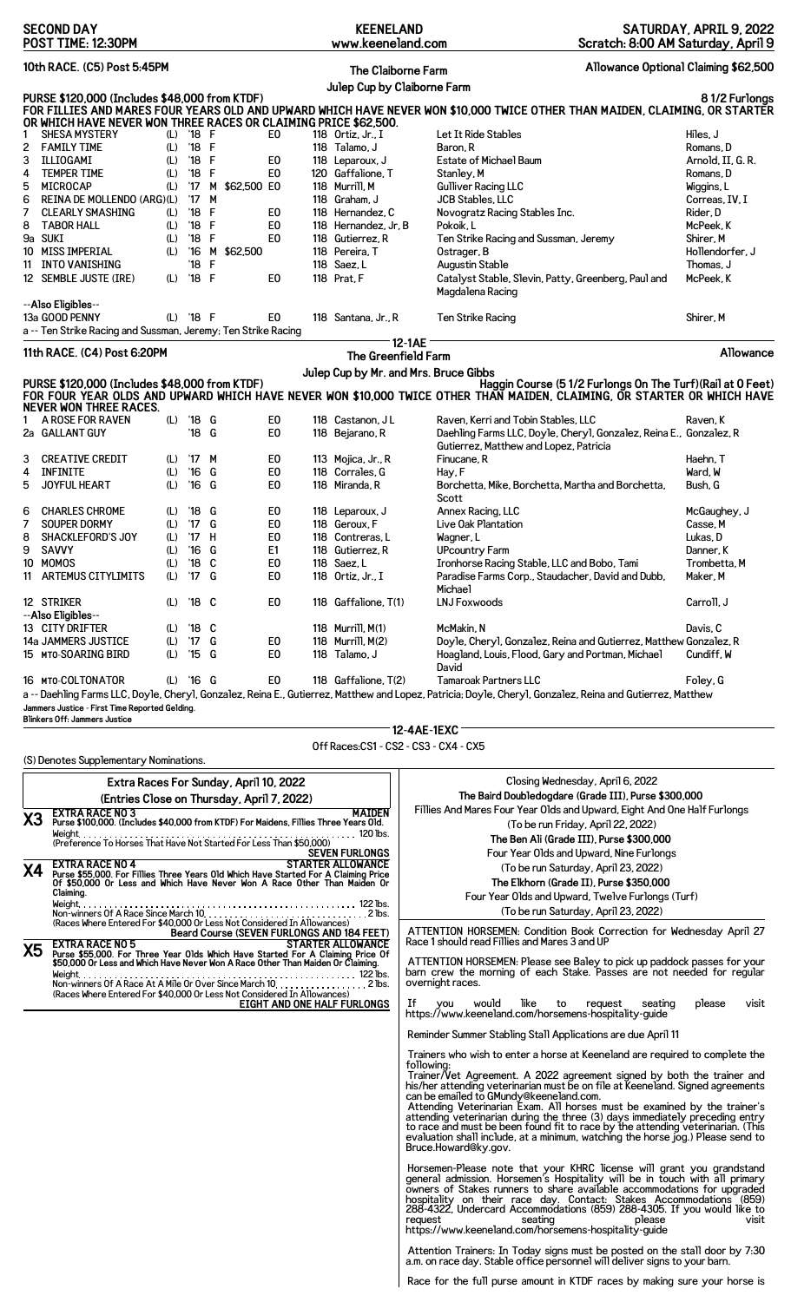|                | <b>SECOND DAY</b><br>POST TIME: 12:30PM                                                                                                                         |            |                |        |                                            | <b>KEENELAND</b><br>www.keeneland.com |                                                                                                                                                           | Scratch: 8:00 AM Saturday, April 9                                 | SATURDAY, APRIL 9, 2022 |
|----------------|-----------------------------------------------------------------------------------------------------------------------------------------------------------------|------------|----------------|--------|--------------------------------------------|---------------------------------------|-----------------------------------------------------------------------------------------------------------------------------------------------------------|--------------------------------------------------------------------|-------------------------|
|                | 10th RACE. (C5) Post 5:45PM                                                                                                                                     |            |                |        |                                            | <b>The Claiborne Farm</b>             |                                                                                                                                                           | Allowance Optional Claiming \$62,500                               |                         |
|                |                                                                                                                                                                 |            |                |        |                                            |                                       | Julep Cup by Claiborne Farm                                                                                                                               |                                                                    |                         |
|                | PURSE \$120,000 (Includes \$48,000 from KTDF)<br>OR WHICH HAVE NEVER WON THREE RACES OR CLAIMING PRICE \$62,500.                                                |            |                |        |                                            |                                       | FOR FILLIES AND MARES FOUR YEARS OLD AND UPWARD WHICH HAVE NEVER WON \$10,000 TWICE OTHER THAN MAIDEN, CLAIMING, OR STARTER                               |                                                                    | 81/2 Furlongs           |
| 1              | <b>SHESA MYSTERY</b>                                                                                                                                            | (L)        | $'18$ F        |        | E0                                         | 118 Ortiz, Jr., I                     | Let It Ride Stables                                                                                                                                       |                                                                    | Hiles, J                |
| 2              | <b>FAMILY TIME</b>                                                                                                                                              | (L)        | '18 F          |        |                                            | 118 Talamo, J                         | Baron, R                                                                                                                                                  |                                                                    | Romans.D                |
| 3              | ILLIOGAMI                                                                                                                                                       | (L)        | '18            | F      | E0                                         | 118 Leparoux, J                       | Estate of Michael Baum                                                                                                                                    |                                                                    | Arnold, II, G. R.       |
| 4              | <b>TEMPER TIME</b>                                                                                                                                              | (L)        | '18 F          |        | E <sub>0</sub>                             | 120 Gaffalione, T                     | Stanley, M                                                                                                                                                |                                                                    | Romans. D               |
| 5              | MICROCAP                                                                                                                                                        | (L)        | $^{\prime}$ 17 |        | M \$62,500 E0                              | 118 Murrill, M                        | <b>Gulliver Racing LLC</b>                                                                                                                                |                                                                    | Wiggins, L              |
| 6              | REINA DE MOLLENDO (ARG)(L)                                                                                                                                      |            | $^{\prime}$ 17 | M      |                                            | 118 Graham, J                         | JCB Stables, LLC                                                                                                                                          |                                                                    | Correas, IV, I          |
| 7              | <b>CLEARLY SMASHING</b>                                                                                                                                         | (L)        | $^{\prime}18$  | F      | E <sub>0</sub>                             | 118 Hernandez, C                      | Novogratz Racing Stables Inc.                                                                                                                             |                                                                    | Rider, D                |
| 8              | <b>TABOR HALL</b>                                                                                                                                               | (L)        | $^{\prime}$ 18 | F      | E <sub>0</sub>                             | 118 Hernandez, Jr, B                  | Pokoik, L                                                                                                                                                 |                                                                    | McPeek, K               |
| 9a SUKI        |                                                                                                                                                                 | (L)        | '18 F          |        | E0                                         | 118 Gutierrez, R                      | Ten Strike Racing and Sussman, Jeremy                                                                                                                     |                                                                    | Shirer, M               |
|                | 10 MISS IMPERIAL                                                                                                                                                | (L)        | $^{\prime}16$  |        | M \$62,500                                 | 118 Pereira. T                        | Ostrager, B                                                                                                                                               |                                                                    | Hollendorfer, J         |
| 11             | INTO VANISHING                                                                                                                                                  |            | '18            | F      |                                            | 118 Saez, L                           | Augustin Stable                                                                                                                                           |                                                                    | Thomas, J               |
|                | 12 SEMBLE JUSTE (IRE)                                                                                                                                           | (L)        | '18 F          |        | E <sub>0</sub>                             | 118 Prat, F                           | Catalyst Stable, Slevin, Patty, Greenberg, Paul and                                                                                                       |                                                                    | McPeek, K               |
|                |                                                                                                                                                                 |            |                |        |                                            |                                       | Magdalena Racing                                                                                                                                          |                                                                    |                         |
|                | --Also Eligibles--<br>13a GOOD PENNY                                                                                                                            |            | $(L)$ '18 F    |        | E <sub>0</sub>                             | 118 Santana, Jr., R                   | <b>Ten Strike Racing</b>                                                                                                                                  |                                                                    | Shirer, M               |
|                | a -- Ten Strike Racing and Sussman, Jeremy; Ten Strike Racing                                                                                                   |            |                |        |                                            |                                       |                                                                                                                                                           |                                                                    |                         |
|                | 11th RACE. (C4) Post 6:20PM                                                                                                                                     |            |                |        |                                            |                                       | 12-1AE                                                                                                                                                    |                                                                    | Allowance               |
|                |                                                                                                                                                                 |            |                |        |                                            | The Greenfield Farm                   |                                                                                                                                                           |                                                                    |                         |
|                |                                                                                                                                                                 |            |                |        |                                            |                                       | Julep Cup by Mr. and Mrs. Bruce Gibbs                                                                                                                     |                                                                    |                         |
|                | PURSE \$120,000 (Includes \$48,000 from KTDF)<br>NEVER WON THREE RACES.                                                                                         |            |                |        |                                            |                                       | FOR FOUR YEAR OLDS AND UPWARD WHICH HAVE NEVER WON \$10,000 TWICE OTHER THAN MAIDEN, CLAIMING, OR STARTER OR WHICH HAVE                                   | Haggin Course (51/2 Furlongs On The Turf) (Rail at 0 Feet)         |                         |
|                | A ROSE FOR RAVEN                                                                                                                                                | (L)        | '18 G          |        | E <sub>0</sub>                             | 118 Castanon, JL                      | Raven, Kerri and Tobin Stables, LLC                                                                                                                       |                                                                    | Raven, K                |
|                | 2a GALLANT GUY                                                                                                                                                  |            | '18 G          |        | E0                                         | 118 Bejarano, R                       | Gutierrez, Matthew and Lopez, Patricia                                                                                                                    | Daehling Farms LLC, Doyle, Cheryl, Gonzalez, Reina E., Gonzalez, R |                         |
| 3              | <b>CREATIVE CREDIT</b>                                                                                                                                          | (L)        | '17            | M      | E0                                         | 113 Mojica, Jr., R                    | Finucane, R                                                                                                                                               |                                                                    | Haehn, T                |
| 4              | <b>INFINITE</b>                                                                                                                                                 | (L)        | $^{\prime}16$  | G      | E <sub>0</sub>                             | 118 Corrales, G                       | Hay, F                                                                                                                                                    |                                                                    | Ward, W                 |
| 5              | JOYFUL HEART                                                                                                                                                    | (L)        | $'16$ G        |        | E <sub>0</sub>                             | 118 Miranda, R                        | Borchetta, Mike, Borchetta, Martha and Borchetta,                                                                                                         |                                                                    | Bush. G                 |
|                |                                                                                                                                                                 |            |                |        |                                            |                                       | Scott                                                                                                                                                     |                                                                    |                         |
| 6              | <b>CHARLES CHROME</b>                                                                                                                                           | (L)        | '18            | G      | E0                                         | 118 Leparoux, J                       | Annex Racing, LLC                                                                                                                                         |                                                                    | McGaughey, J            |
| 7              | SOUPER DORMY                                                                                                                                                    | (L)        | $^{\prime}17$  | G      | E <sub>0</sub>                             | 118 Geroux, F                         | Live Oak Plantation                                                                                                                                       |                                                                    | Casse, M                |
| 8              | <b>SHACKLEFORD'S JOY</b>                                                                                                                                        | (L)        | $^{\prime}17$  | Н      | E <sub>0</sub>                             | 118 Contreras, L                      | Wagner, L                                                                                                                                                 |                                                                    | Lukas, D                |
| 9              | <b>SAVVY</b>                                                                                                                                                    | (L)        | $^{\prime}16$  | G      | E1                                         | 118 Gutierrez, R                      | UPcountry Farm                                                                                                                                            |                                                                    | Danner, K               |
| 10             | MOMOS                                                                                                                                                           | (L)        | $^{\prime}18$  | C      | E0                                         | 118 Saez, L                           | Ironhorse Racing Stable, LLC and Bobo, Tami                                                                                                               |                                                                    | Trombetta, M            |
| 11             | <b>ARTEMUS CITYLIMITS</b>                                                                                                                                       | (L)        | $^{\prime}17$  | G      | E0                                         | 118 Ortiz. Jr., I                     | Paradise Farms Corp., Staudacher, David and Dubb,<br>Michael                                                                                              |                                                                    | Maker, M                |
|                | 12 STRIKER                                                                                                                                                      | (L)        | '18 C          |        | E0                                         | 118 Gaffalione, T(1)                  | <b>LNJ Foxwoods</b>                                                                                                                                       |                                                                    | Carroll, J              |
|                | --Also Eligibles--                                                                                                                                              |            |                |        |                                            |                                       |                                                                                                                                                           |                                                                    |                         |
|                | 13 CITY DRIFTER                                                                                                                                                 | (L)        | '18            | C      |                                            | 118 Murrill, M(1)                     | McMakin, N                                                                                                                                                |                                                                    | Davis, C                |
|                | 14a JAMMERS JUSTICE<br>15 MTO-SOARING BIRD                                                                                                                      | (L)<br>(L) | '17<br>'15     | G<br>G | E0<br>E0                                   | 118 Murrill, M(2)<br>118 Talamo, J    | Hoagland, Louis, Flood, Gary and Portman, Michael                                                                                                         | Doyle, Cheryl, Gonzalez, Reina and Gutierrez, Matthew Gonzalez, R  | Cundiff, W              |
|                |                                                                                                                                                                 |            |                |        |                                            |                                       | David                                                                                                                                                     |                                                                    |                         |
|                | 16 MTO-COLTONATOR                                                                                                                                               |            | $(L)$ '16 G    |        | E0                                         | 118 Gaffalione, T(2)                  | <b>Tamaroak Partners LLC</b>                                                                                                                              |                                                                    | Foley, G                |
|                |                                                                                                                                                                 |            |                |        |                                            |                                       | a -- Daehling Farms LLC, Doyle, Cheryl, Gonzalez, Reina E., Gutierrez, Matthew and Lopez, Patricia; Doyle, Cheryl, Gonzalez, Reina and Gutierrez, Matthew |                                                                    |                         |
|                | Jammers Justice - First Time Reported Gelding.                                                                                                                  |            |                |        |                                            |                                       |                                                                                                                                                           |                                                                    |                         |
|                | <b>Blinkers Off: Jammers Justice</b>                                                                                                                            |            |                |        |                                            |                                       | 12-4AE-1EXC                                                                                                                                               |                                                                    |                         |
|                |                                                                                                                                                                 |            |                |        |                                            |                                       | Off Races: CS1 - CS2 - CS3 - CX4 - CX5                                                                                                                    |                                                                    |                         |
|                | (S) Denotes Supplementary Nominations.                                                                                                                          |            |                |        |                                            |                                       |                                                                                                                                                           |                                                                    |                         |
|                |                                                                                                                                                                 |            |                |        | Extra Races For Sunday, April 10, 2022     |                                       |                                                                                                                                                           | Closing Wednesday, April 6, 2022                                   |                         |
|                |                                                                                                                                                                 |            |                |        | (Entries Close on Thursday, April 7, 2022) |                                       |                                                                                                                                                           | The Baird Doubledogdare (Grade III), Purse \$300,000               |                         |
| X <sub>3</sub> | <b>EXTRA RACE NO 3</b>                                                                                                                                          |            |                |        |                                            | <b>MAIDEN</b>                         | Fillies And Mares Four Year Olds and Upward, Eight And One Half Furlongs                                                                                  |                                                                    |                         |
|                | Purse \$100,000. (Includes \$40,000 from KTDF) For Maidens, Fillies Three Years Old.                                                                            |            |                |        |                                            |                                       |                                                                                                                                                           | (To be run Friday, April 22, 2022)                                 |                         |
|                | (Preference To Horses That Have Not Started For Less Than \$50,000)                                                                                             |            |                |        |                                            |                                       |                                                                                                                                                           | The Ben Ali (Grade III), Purse \$300,000                           |                         |
|                |                                                                                                                                                                 |            |                |        |                                            | <b>SEVEN FURLONGS</b>                 |                                                                                                                                                           | Four Year Olds and Upward, Nine Furlongs                           |                         |
| Χ4             | <b>EXTRA RACE NO 4</b>                                                                                                                                          |            |                |        |                                            | <b>STARTER ALLOWANCE</b>              |                                                                                                                                                           | (To be run Saturday, April 23, 2022)                               |                         |
|                | Purse \$55,000. For Fillies Three Years Old Which Have Started For A Claiming Price<br>Of \$50,000 Or Less and Which Have Never Won A Race Other Than Maiden Or |            |                |        |                                            |                                       |                                                                                                                                                           | The Elkhorn (Grade II), Purse \$350,000                            |                         |
|                | Claiming.                                                                                                                                                       |            |                |        |                                            |                                       |                                                                                                                                                           | Four Year Olds and Upward, Twelve Furlongs (Turf)                  |                         |
|                | Weight                                                                                                                                                          |            |                |        |                                            |                                       |                                                                                                                                                           |                                                                    |                         |
|                | (Races Where Entered For \$40,000 Or Less Not Considered In Allowances)                                                                                         |            |                |        |                                            |                                       |                                                                                                                                                           | (To be run Saturday, April 23, 2022)                               |                         |
|                |                                                                                                                                                                 |            |                |        | Beard Course (SEVEN FURLONGS AND 184 FEET) |                                       | ATTENTION HORSEMEN: Condition Book Correction for Wednesday April 27                                                                                      |                                                                    |                         |
| VF.            | <b>EXTRA RACE NO 5</b>                                                                                                                                          |            |                |        |                                            | <b>STARTER ALLOWANCE</b>              | Race 1 should read Fillies and Mares 3 and UP                                                                                                             |                                                                    |                         |

**X5 EXTRA RACE NO 5 STARTER ALLOWANCE Purse \$55,000. For Three Year Olds Which Have Started For A Claiming Price Of \$50,000 Or Less and Which Have Never Won A Race Other Than Maiden Or Claiming.** Weight 122 lbs. Non-winners Of A Race At A Mile Or Over Since March 10 2 lbs. (Races Where Entered For \$40,000 Or Less Not Considered In Allowances) **EIGHT AND ONE HALF FURLONGS**

ATTENTION HORSEMEN: Please see Baley to pick up paddock passes for your barn crew the morning of each Stake. Passes are not needed for regular overnight races.

If you would like to request seating please visit https://www.keeneland.com/horsemens-hospitality-guide

Reminder Summer Stabling Stall Applications are due April 11

Trainers who wish to enter a horse at Keeneland are required to complete the

following:<br>Trainer/Vet Agreement. A 2022 agreement signed by both the trainer and<br>his/her attending veterinarian must be on file at Keeneland. Signed agreements<br>can be emailed to GMundy@keeneland.com.<br>Attending Veterinaria Bruce.Howard@ky.gov.

Horsemen-Please note that your KHRC license will grant you grandstand<br>general admission. Horsemen's Hospitality will be in touch with all primary<br>owners of Stakes runners to share available accommodations for upgraded<br>hosp

Attention Trainers: In Today signs must be posted on the stall door by 7:30 a.m. on race day. Stable office personnel will deliver signs to your barn.

Race for the full purse amount in KTDF races by making sure your horse is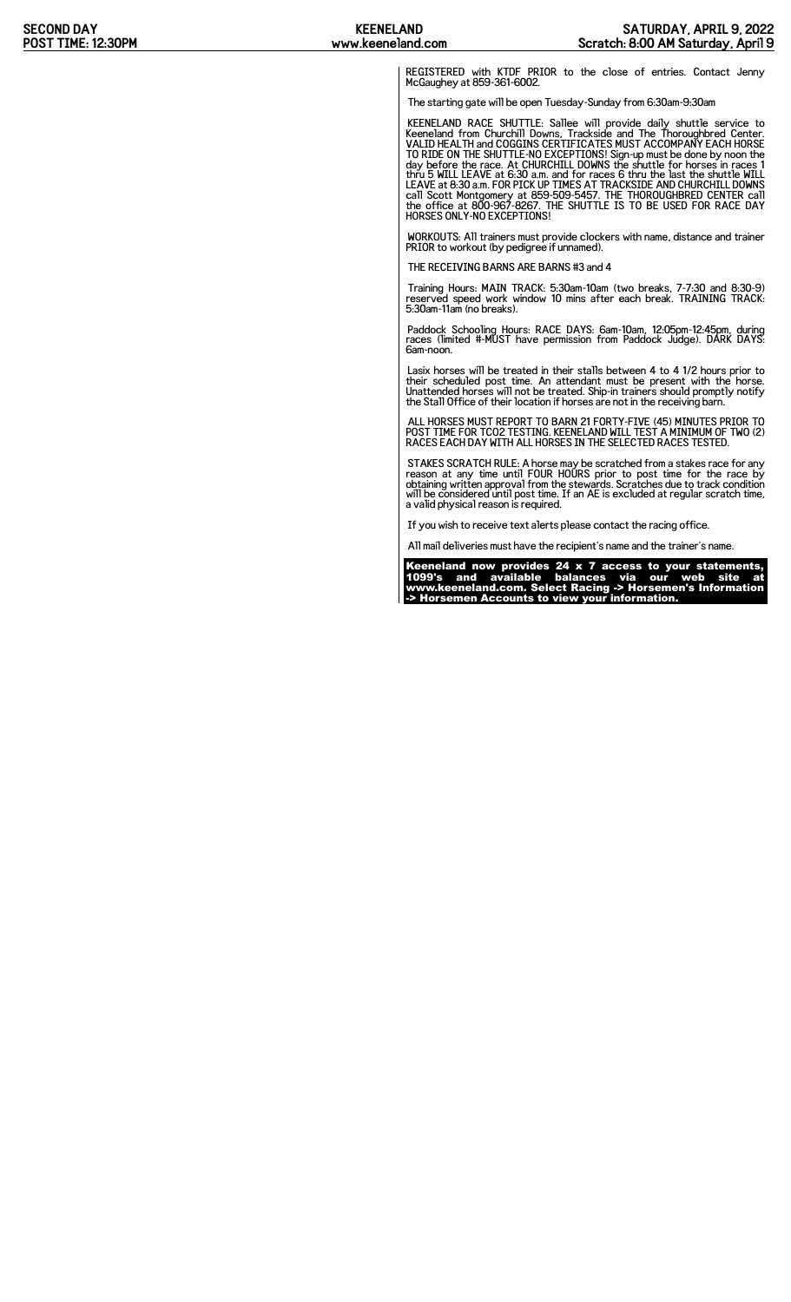REGISTERED with KTDF PRIOR to the close of entries. Contact Jenny McGaughey at 859-361-6002.

The starting gate will be open Tuesday-Sunday from 6:30am-9:30am

KEENELAND RACE SHUTTLE: Sallee will provide daily shuttle service to<br>Keeneland from Churchill Downs, Trackside and The Thoroughbred Center.<br>VALID HEALTH and COGGINS CERTIFICATES MUST ACCOMPANY EACH HORSE<br>TO RIDE ON THE SHU HORSES ONLY-NO EXCEPTIONS!

WORKOUTS: All trainers must provide clockers with name, distance and trainer PRIOR to workout (by pedigree if unnamed).

THE RECEIVING BARNS ARE BARNS #3 and 4

Training Hours: MAIN TRACK: 5:30am-10am (two breaks, 7-7:30 and 8:30-9) reserved speed work window 10 mins after each break. TRAINING TRACK: 5:30am-11am (no breaks).

Paddock Schooling Hours: RACE DAYS: 6am-10am, 12:05pm-12:45pm, during races (limited #-MUST have permission from Paddock Judge). DARK DAYS: 6am-noon.

Lasix horses will be treated in their stalls between 4 to 4 1/2 hours prior to<br>their scheduled post time. An attendant must be present with the horse.<br>Unattended horses will not be treated. Ship-in trainers should promptly the Stall Office of their location if horses are not in the receiving barn.

ALL HORSES MUST REPORT TO BARN 21 FORTY-FIVE (45) MINUTES PRIOR TO POST TIME FOR TCO2 TESTING. KEENELAND WILL TEST A MINIMUM OF TWO (2) RACES EACH DAY WITH ALL HORSES IN THE SELECTED RACES TESTED.

STAKES SCRATCH RULE: A horse may be scratched from a stakes race for any<br>reason at any time until FOUR HOURS prior to post time for the race by<br>obtaining written approval from the stewards. Scratches due to track condition

If you wish to receive text alerts please contact the racing office.

All mail deliveries must have the recipient's name and the trainer's name.

Keeneland now provides 24 x 7 access to your statements, 1099's and available balances via our web site at www.keeneland.com. Select Racing -> Horsemen's Information -> Horsemen Accounts to view your information.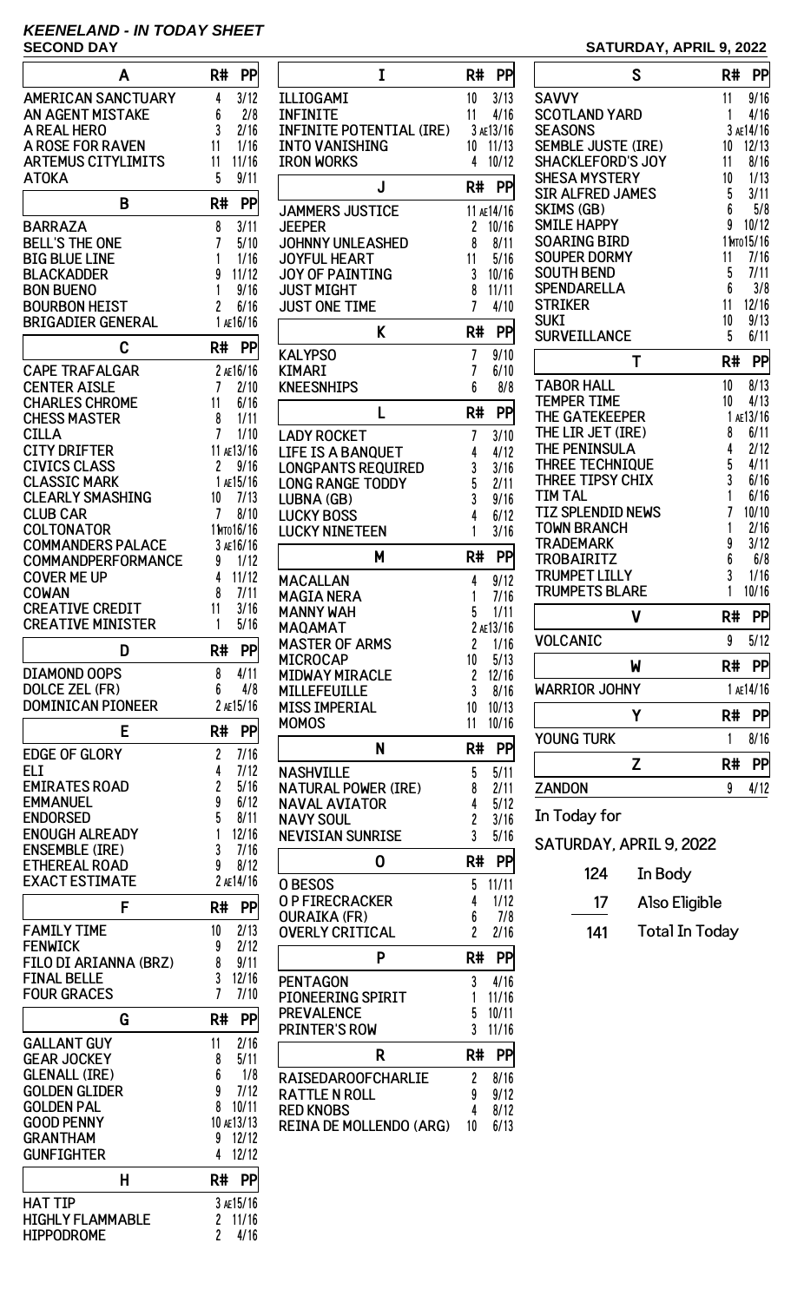# **KEENELAND - IN TODAY SHEET**

| Α                                            | R#<br>PP                                                   |
|----------------------------------------------|------------------------------------------------------------|
| <b>AMERICAN SANCTUARY</b>                    | 3/12<br>4                                                  |
| <b>AN AGENT MISTAKE</b>                      | 6<br>2/8                                                   |
| A REAL HERO                                  | 3<br>2/16                                                  |
| <b>A ROSE FOR RAVEN</b>                      | 11<br>1/16                                                 |
| <b>ARTEMUS CITYLIMITS</b>                    | 11/16<br>11                                                |
| <b>ATOKA</b>                                 | 5<br>9/11                                                  |
|                                              |                                                            |
| B                                            | R#<br>PP                                                   |
| <b>BARRAZA</b>                               | 8                                                          |
| BELL'S THE ONE                               | 3/11<br>7<br>5/10                                          |
| BIG BLUE LINE                                | 1<br>1/16                                                  |
| BLACKADDER                                   | 9<br>11/12                                                 |
| <b>BON BUENO</b>                             | 1<br>9/16                                                  |
| <b>BOURBON HEIST</b>                         | 2<br>6/16                                                  |
| <b>BRIGADIER GENERAL</b>                     | 1 AE16/16                                                  |
|                                              |                                                            |
| Ć                                            | R#<br>PP                                                   |
|                                              |                                                            |
| <b>CAPE TRAFALGAR</b>                        | 2 AE16/16<br>7                                             |
| <b>CENTER AISLE</b>                          | 2/10                                                       |
| <b>CHARLES CHROME</b><br><b>CHESS MASTER</b> | 11<br>6/16<br>8<br>1/11                                    |
| <b>CILLA</b>                                 | 7                                                          |
| <b>CITY DRIFTER</b>                          | 1/10<br>11 AE13/16                                         |
| <b>CIVICS CLASS</b>                          | 2<br>9/16                                                  |
| <b>CLASSIC MARK</b>                          | 1 AE15/16                                                  |
|                                              |                                                            |
| <b>CLEARLY SMASHING</b><br><b>CLUB CAR</b>   | 10<br>7/13<br>7                                            |
|                                              | 8/10                                                       |
| COLTONATOR                                   | 1 Мто 16/16                                                |
| <b>COMMANDERS PALACE</b>                     | 3 AE16/16                                                  |
| COMMANDPERFORMANCE                           | 9<br>1/12                                                  |
| <b>COVER ME UP</b>                           | 4<br>11/12                                                 |
| COWAN                                        | 8<br>7/11                                                  |
| <b>CREATIVE CREDIT</b>                       | 11<br>3/16                                                 |
| <b>CREATIVE MINISTER</b>                     | 1<br>5/16                                                  |
|                                              |                                                            |
|                                              |                                                            |
| D                                            | PP<br>R#                                                   |
| <b>DIAMOND OOPS</b>                          | 8<br>4/11                                                  |
| <b>DOLCE ZEL (FR)</b>                        | 6<br>4/8                                                   |
| <b>DOMINICAN PIONEER</b>                     | 2 AE15/16                                                  |
| E                                            | PP<br>R#                                                   |
|                                              |                                                            |
| <b>EDGE OF GLORY</b>                         | 7/16<br>2                                                  |
| ELI                                          | 4<br>7/12                                                  |
| <b>EMIRATES ROAD</b>                         | 2<br>5/16                                                  |
| EMMANUEL                                     | 9<br>6/12                                                  |
| ENDORSED                                     | 5<br>8/11                                                  |
| <b>ENOUGH ALREADY</b>                        | 1<br>12/16                                                 |
| <b>ENSEMBLE (IRE)</b>                        | 3<br>7/16                                                  |
| <b>ETHEREAL ROAD</b>                         | 9<br>8/12                                                  |
| <b>EXACT ESTIMATE</b>                        | 2 AE14/16                                                  |
| F                                            | R#<br>PP                                                   |
|                                              | 10                                                         |
| <b>FAMILY TIME</b><br><b>FENWICK</b>         | 2/13<br>2/12<br>9                                          |
|                                              | 8<br>9/11                                                  |
| FILO DI ARIANNA (BRZ)                        |                                                            |
| <b>FINAL BELLE</b>                           | 3<br>12/16<br>7                                            |
| <b>FOUR GRACES</b>                           | 7/10                                                       |
| G                                            | R#<br>PP                                                   |
| <b>GALLANT GUY</b>                           | 11<br>2/16                                                 |
| <b>GEAR JOCKEY</b>                           | 5/11<br>8                                                  |
| <b>GLENALL (IRE)</b>                         | 6<br>1/8                                                   |
| <b>GOLDEN GLIDER</b>                         | 9<br>7/12                                                  |
| <b>GOLDEN PAL</b>                            | 8<br>10/11                                                 |
| <b>GOOD PENNY</b>                            | 10 AE13/13                                                 |
| <b>GRANTHAM</b>                              | 12/12<br>9                                                 |
| <b>GUNFIGHTER</b>                            | 12/12<br>4                                                 |
|                                              |                                                            |
| н                                            | R#<br>PP                                                   |
| HAT TIP                                      | 3 AE15/16                                                  |
| <b>HIGHLY FLAMMABLE</b><br><b>HIPPODROME</b> | 11/16<br>$\overline{\mathbf{c}}$<br>$\overline{c}$<br>4/16 |

| I                                             | R#<br><b>PP</b>            |
|-----------------------------------------------|----------------------------|
| ILLIOGAMI                                     | 10<br>3/13                 |
| <b>INFINITE</b>                               | 11<br>4/16                 |
| <b>INFINITE POTENTIAL (IRE)</b>               | 3 AE13/16                  |
| <b>INTO VANISHING</b>                         | 11/13<br>10                |
| <b>IRON WORKS</b>                             | 4<br>10/12                 |
| J                                             | R#<br>PP                   |
| <b>JAMMERS JUSTICE</b>                        | 11 AE14/16                 |
| <b>JEEPER</b>                                 | 2<br>10/16                 |
| <b>JOHNNY UNLEASHED</b>                       | 8<br>8/11                  |
| <b>JOYFUL HEART</b><br><b>JOY OF PAINTING</b> | 5/16<br>11<br>3<br>10/16   |
| <b>JUST MIGHT</b>                             | 11/11<br>8                 |
| <b>JUST ONE TIME</b>                          | 7<br>4/10                  |
| K                                             | PP<br>R#                   |
| <b>KALYPSO</b>                                | 7<br>9/10                  |
| KIMARI                                        | 7<br>6/10                  |
| <b>KNEESNHIPS</b>                             | 6<br>8/8                   |
| L                                             | R#<br>PP                   |
| <b>LADY ROCKET</b>                            | 3/10<br>7                  |
| LIFE IS A BANOUET                             | 4<br>4/12                  |
| <b>LONGPANTS REQUIRED</b>                     | 3<br>3/16                  |
| <b>LONG RANGE TODDY</b>                       | 5<br>2/11                  |
| LUBNA (GB)                                    | 3<br>9/16                  |
| <b>LUCKY BOSS</b><br><b>LUCKY NINETEEN</b>    | 4<br>6/12<br>1             |
|                                               | 3/16                       |
| М                                             | R#<br>PP                   |
| <b>MACALLAN</b>                               | 4<br>9/12                  |
| <b>MAGIA NERA</b>                             | 7/16<br>1                  |
| MANNY WAH<br>MAQAMAT                          | 5<br>1/11<br>2 AE13/16     |
| <b>MASTER OF ARMS</b>                         | 2<br>1/16                  |
| MICROCAP                                      | 10<br>5/13                 |
| <b>MIDWAY MIRACLE</b>                         | 2<br>12/16                 |
| MILLEFEUILLE                                  | 3<br>8/16                  |
| MISS IMPERIAL<br>MOMOS                        | 10/13<br>10<br>10/16<br>11 |
|                                               |                            |
| N                                             | R#<br>PP                   |
| NASHVILLE                                     | 5<br>5/11                  |
|                                               |                            |
| <b>NATURAL POWER (IRE)</b>                    | 8<br>2/11                  |
| <b>NAVAL AVIATOR</b>                          | 5/12<br>4                  |
| <b>NAVY SOUL</b><br>NEVISIAN SUNRISE          | 2<br>3/16<br>3<br>5/16     |
|                                               |                            |
| 0                                             | R#<br>PP                   |
| <b>OBESOS</b>                                 | 5<br>11/11                 |
| <b>O P FIRECRACKER</b>                        | 4<br>1/12<br>7/8<br>6      |
| <b>OURAIKA (FR)</b><br><b>OVERLY CRITICAL</b> | $\overline{c}$<br>2/16     |
| P                                             |                            |
|                                               | R#<br>PP                   |
| PENTAGON                                      | 3<br>4/16                  |
| <b>PIONEERING SPIRIT</b><br><b>PREVALENCE</b> | 1<br>11/16<br>5<br>10/11   |
| <b>PRINTER'S ROW</b>                          | 3<br>11/16                 |
| R                                             | R#<br>PP                   |
|                                               |                            |
| RAISEDAROOFCHARLIE<br>RATTLE N ROLL           | 2<br>8/16<br>9<br>9/12     |
| <b>RED KNOBS</b>                              | 4<br>8/12                  |
| <b>REINA DE MOLLENDO (ARG)</b>                | 10<br>6/13                 |

## **SATURDAY, APRIL 9, 2022**

| S                                     | R#     | PP           |
|---------------------------------------|--------|--------------|
| <b>SAVVY</b>                          | 11     | 9/16         |
| <b>SCOTLAND YARD</b>                  | 1      | 4/16         |
| <b>SEASONS</b>                        |        | 3 AE14/16    |
| <b>SEMBLE JUSTE (IRE)</b>             | 10     | 12/13        |
| <b>SHACKLEFORD'S JOY</b>              | 11     | 8/16         |
| <b>SHESA MYSTERY</b>                  | 10     | 1/13         |
| <b>SIR ALFRED JAMES</b><br>SKIMS (GB) | 5<br>6 | 3/11<br>5/8  |
| <b>SMILE HAPPY</b>                    | 9      | 10/12        |
| <b>SOARING BIRD</b>                   |        | 1 Мто 15/16  |
| <b>SOUPER DORMY</b>                   | 11     | 7/16         |
| <b>SOUTH BEND</b>                     | 5      | 7/11         |
| <b>SPENDARELLA</b>                    | 6      | 3/8          |
| <b>STRIKER</b>                        | 11     | 12/16        |
| <b>SUKI</b>                           | 10     | 9/13         |
| <b>SURVEILLANCE</b>                   | 5      | 6/11         |
| T                                     | R#     | PP           |
| <b>TABOR HALL</b>                     | 10     | 8/13         |
| <b>TEMPER TIME</b>                    | 10     | 4/13         |
| THE GATEKEEPER                        |        | 1 ae13/16    |
| THE LIR JET (IRE)                     | 8      | 6/11         |
| THE PENINSULA<br>THREE TECHNIQUE      | 4<br>5 | 2/12<br>4/11 |
| THREE TIPSY CHIX                      | 3      | 6/16         |
| <b>TIM TAL</b>                        | 1      | 6/16         |
| <b>TIZ SPLENDID NEWS</b>              | 7      | 10/10        |
| <b>TOWN BRANCH</b>                    | 1      | 2/16         |
| <b>TRADEMARK</b>                      | 9      | 3/12         |
| <b>TROBAIRITZ</b>                     | 6      | 6/8          |
| <b>TRUMPET LILLY</b>                  | 3      | 1/16         |
| <b>TRUMPETS BLARE</b>                 | 1      | 10/16        |
| ۷                                     | R#     | PP           |
| VOLCANIC                              | 9      | 5/12         |
| W                                     | R#     | рp           |
| <b>WARRIOR JOHNY</b>                  |        | 1 AE14/16    |
| Y                                     | R#     | PP           |
| Young Turk                            | 1      | 8/16         |
| Z                                     | R#     | PP           |
| <b>ZANDON</b>                         | 9      | 4/12         |
| In Today for                          |        |              |

SATURDAY, APRIL 9, 2022

| 17 | Also Eligible |
|----|---------------|
|----|---------------|

141 Total In Today